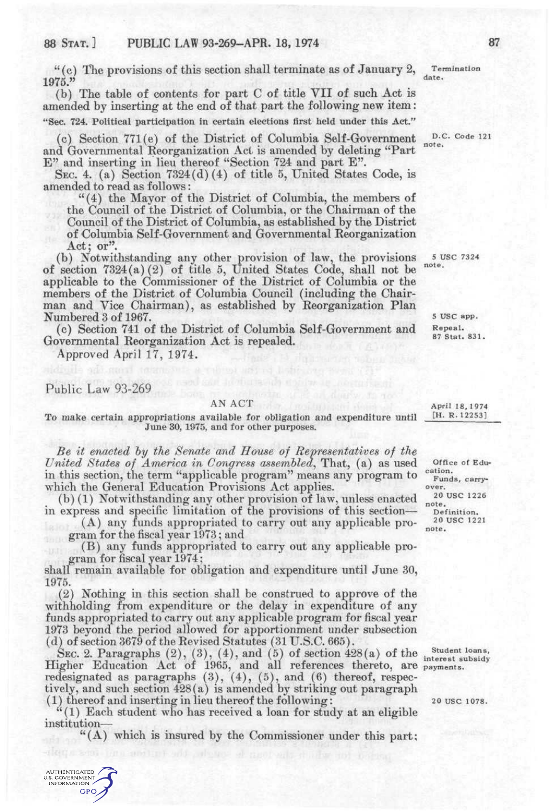$f''(c)$  The provisions of this section shall terminate as of January 2, 1975."

(b) The table of contents for part C of title VII of such Act is amended by inserting at the end of that part the following new item: "Sec. 724. Political participation in certain elections first held under this Act."

(c) Section 771(e) of the District of Columbia Self-Government and Governmental Reorganization Act is amended by deleting "Part E" and inserting in lieu thereof "Section 724 and part E".

SEC. 4. (a) Section 7324(d)(4) of title 5, United States Code, is amended to read as follows:

"(4) the Mayor of the District of Columbia, the members of the Council of the District of Columbia, or the Chairman of the Council of the District of Columbia, as established by the District of Columbia Self-Government and Governmental Reorganization Act; or".

(b) Notwithstanding any other provision of law, the provisions of section 7324(a) (2) of title 5, United States Code, shall not be applicable to the Commissioner of the District of Columbia or the members of the District of Columbia Council (including the Chairman and Vice Chairman), as established by Reorganization Plan Numbered 3 of 1967.

(c) Section 741 of the District of Columbia Self-Government and Governmental Reorganization Act is repealed.

Approved April 17, 1974.

Public Law 93-269

## AN ACT

To make certain appropriations available for obligation and expenditure until June 30, 1975, and for other purposes.

*Be it enacted hy the Senate and House of Representatives of the United States of America in Congress assembled^* That, (a) as used in this section, the term "applicable program" means any program to which the General Education Provisions Act applies.

(b) (1) Notwithstanding any other provision of law, unless enacted in express and specific limitation of the provisions of this section—

(A) any funds appropriated to carry out any applicable program for the fiscal year 1973; and

(B) any funds appropriated to carry out any applicable program for fiscal year 1974;

shall remain available for obligation and expenditure until June 30, 1975.

(2) Nothing in this section shall be construed to approve of the withholding from expenditure or the delay in expenditure of any funds appropriated to carry out any applicable program for fiscal year 1973 beyond the period allowed for apportionment under subsection (d) of section 3679 of the Revised Statutes (31 U.S.C. 665).

SEC. 2. Paragraphs  $(2)$ ,  $(3)$ ,  $(4)$ , and  $(5)$  of section  $428(a)$  of the Higher Education Act of 1965, and all references thereto, are redesignated as paragraphs  $(3)$ ,  $(4)$ ,  $(5)$ , and  $(6)$  thereof, respectively, and such section 428(a) is amended by striking out paragraph (1) thereof and inserting in lieu thereof the following:

"(1) Each student who has received a loan for study at an eligible institution—

 $((A)$  which is insured by the Commissioner under this part;

Termination date.

D.C. Code 121 note.

5 USC 7324 note.

> 5 USC app. Repeal. 87 Stat. 831.

April 18, 1974 [H. R.12253]

Office of Education. Funds, carry-

over. 20 USC 1226

note . Definition.

20 USC 1221 note .

Student loans, interest subsidy payments.

20 USC 1078.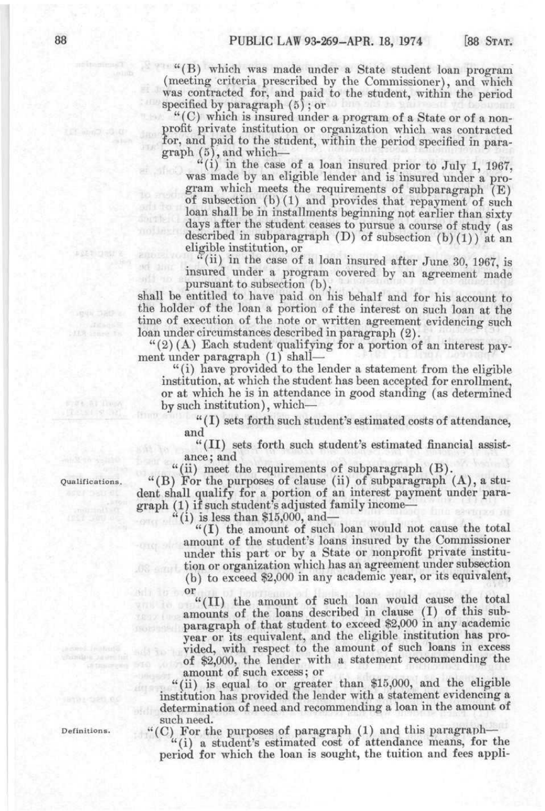"(B) which was made under a State student loan program (meeting criteria prescribed by the Commissioner), and which was contracted for, and paid to the student, within the period specified by paragraph (5) ; or

"(C) which is insured under a program of a State or of a nonprofit private institution or organization which was contracted for, and paid to the student, within the period specified in paragraph (5), and which—

 $``(i)$  in the case of a loan insured prior to July 1, 1967, was made by an eligible lender and is insured under a program which meets the requirements of subparagraph (E) of subsection (b) (1) and provides that repayment of such loan shall be in installments beginning not earlier than sixty days after the student ceases to pursue a course of study (as described in subparagraph  $(D)$  of subsection  $(b)(1)$  at an eligible institution, or

"(ii) in the case of a loan insured after June 30, 1967, is insured under a program covered by an agreement made pursuant to subsection (b),

shall be entitled to have paid on his behalf and for his account to the holder of the loan a portion of the interest on such loan at the time of execution of the note or written agreement evidencing such loan under circumstances described in paragraph (2).

 $''(2)$  (A) Each student qualifying for a portion of an interest payment under paragraph (1) shall—

"(i) have provided to the lender a statement from the eligible institution, at which the student has been accepted for enrollment, or at which he is in attendance in good standing (as determined by such institution), which—

"(I) sets forth such student's estimated costs of attendance, and

"(II) sets forth such student's estimated financial assistance; and

"(ii) meet the requirements of subparagraph (B).

Qualifications. "(B) For the purposes of clause (ii) of subparagraph (A), a student shall qualify for a portion of an interest payment under paragraph (1) if such student's adjusted family income—

"(i) is less than  $$15,000$ , and-

"(I) the amount of such loan would not cause the total amount of the student's loans insured by the Commissioner under this part or by a State or nonprofit private institution or organization which has an agreement under subsection (b) to exceed \$2,000 in any academic year, or its equivalent, or

"(II) the amount of such loan would cause the total amounts of the loans described in clause (I) of this subparagraph of that student to exceed \$2,000 in any academic year or its equivalent, and the eligible institution has provided, with respect to the amount of such loans in excess of \$2,000, the lender with a statement recommending the amount of such excess; or

"(ii) is equal to or greater than \$15,000, and the eligible institution has provided the lender with a statement evidencing a determination of need and recommending a loan in the amount of such need.

Definitions. " $(C)$  For the purposes of paragraph (1) and this paragraph—

"(i) a student's estimated cost of attendance means, for the period for which the loan is sought, the tuition and fees appli-

**SERIEST RE**